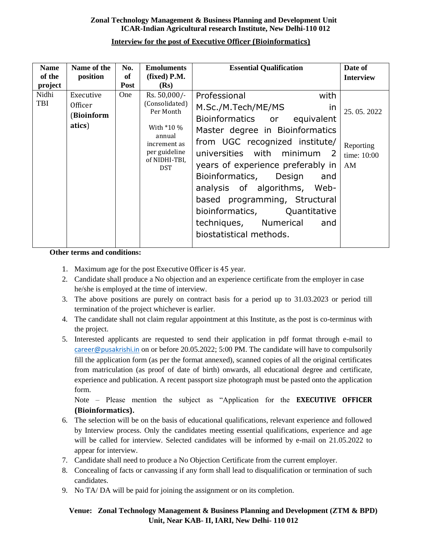#### **Zonal Technology Management & Business Planning and Development Unit ICAR-Indian Agricultural research Institute, New Delhi-110 012**

| <b>Name</b><br>of the<br>project | Name of the<br>position                             | No.<br>of<br><b>Post</b> | <b>Emoluments</b><br>$(fixed)$ P.M.<br>(Rs)                                                                                         | <b>Essential Qualification</b>                                                                                                                                                                                                                                                                                                                                                                                         | Date of<br><b>Interview</b>                  |
|----------------------------------|-----------------------------------------------------|--------------------------|-------------------------------------------------------------------------------------------------------------------------------------|------------------------------------------------------------------------------------------------------------------------------------------------------------------------------------------------------------------------------------------------------------------------------------------------------------------------------------------------------------------------------------------------------------------------|----------------------------------------------|
| Nidhi<br><b>TBI</b>              | Executive<br><b>Officer</b><br>(Bioinform<br>atics) | One                      | Rs. 50,000/-<br>(Consolidated)<br>Per Month<br>With *10 %<br>annual<br>increment as<br>per guideline<br>of NIDHI-TBI,<br><b>DST</b> | Professional<br>with<br>M.Sc./M.Tech/ME/MS<br>in<br>Bioinformatics or equivalent<br>Master degree in Bioinformatics<br>from UGC recognized institute/<br>universities with minimum 2<br>years of experience preferably in<br>Bioinformatics, Design<br>and<br>analysis of algorithms, Web-<br>based programming, Structural<br>bioinformatics, Quantitative<br>techniques, Numerical<br>and<br>biostatistical methods. | 25.05.2022<br>Reporting<br>time: 10:00<br>AM |

#### **Interview for the post of Executive Officer (Bioinformatics)**

#### **Other terms and conditions:**

- 1. Maximum age for the post Executive Officer is 45 year.
- 2. Candidate shall produce a No objection and an experience certificate from the employer in case he/she is employed at the time of interview.
- 3. The above positions are purely on contract basis for a period up to 31.03.2023 or period till termination of the project whichever is earlier.
- 4. The candidate shall not claim regular appointment at this Institute, as the post is co-terminus with the project.
- 5. Interested applicants are requested to send their application in pdf format through e-mail to [career@pusakrishi.in](mailto:career@pusakrishi.in) on or before 20.05.2022; 5:00 PM. The candidate will have to compulsorily fill the application form (as per the format annexed), scanned copies of all the original certificates from matriculation (as proof of date of birth) onwards, all educational degree and certificate, experience and publication. A recent passport size photograph must be pasted onto the application form.

Note – Please mention the subject as "Application for the **EXECUTIVE OFFICER (Bioinformatics).**

- 6. The selection will be on the basis of educational qualifications, relevant experience and followed by Interview process. Only the candidates meeting essential qualifications, experience and age will be called for interview. Selected candidates will be informed by e-mail on 21.05.2022 to appear for interview.
- 7. Candidate shall need to produce a No Objection Certificate from the current employer.
- 8. Concealing of facts or canvassing if any form shall lead to disqualification or termination of such candidates.
- 9. No TA/ DA will be paid for joining the assignment or on its completion.

## **Venue: Zonal Technology Management & Business Planning and Development (ZTM & BPD) Unit, Near KAB- II, IARI, New Delhi- 110 012**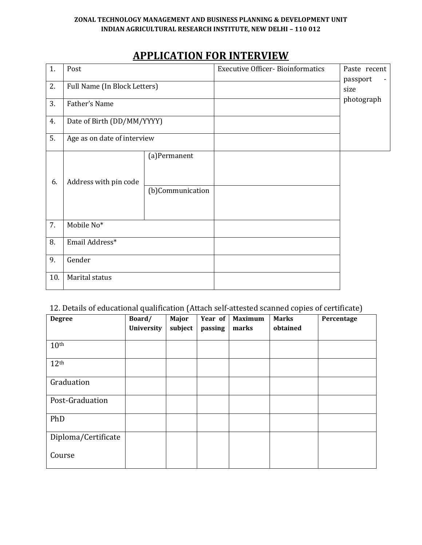#### **ZONAL TECHNOLOGY MANAGEMENT AND BUSINESS PLANNING & DEVELOPMENT UNIT INDIAN AGRICULTURAL RESEARCH INSTITUTE, NEW DELHI – 110 012**

# **APPLICATION FOR INTERVIEW**

| 1.  | Post                         |                                  | <b>Executive Officer-Bioinformatics</b> | Paste recent     |
|-----|------------------------------|----------------------------------|-----------------------------------------|------------------|
| 2.  | Full Name (In Block Letters) |                                  |                                         | passport<br>size |
| 3.  | Father's Name                |                                  |                                         | photograph       |
| 4.  | Date of Birth (DD/MM/YYYY)   |                                  |                                         |                  |
| 5.  | Age as on date of interview  |                                  |                                         |                  |
| 6.  | Address with pin code        | (a)Permanent<br>(b)Communication |                                         |                  |
| 7.  | Mobile No*                   |                                  |                                         |                  |
| 8.  | Email Address*               |                                  |                                         |                  |
| 9.  | Gender                       |                                  |                                         |                  |
| 10. | Marital status               |                                  |                                         |                  |

# 12. Details of educational qualification (Attach self-attested scanned copies of certificate)

| <b>Degree</b>       | Board/     | Major   | Year of | <b>Maximum</b> | <b>Marks</b> | Percentage |
|---------------------|------------|---------|---------|----------------|--------------|------------|
|                     | University | subject | passing | marks          | obtained     |            |
|                     |            |         |         |                |              |            |
| 10 <sup>th</sup>    |            |         |         |                |              |            |
| 12 <sup>th</sup>    |            |         |         |                |              |            |
| Graduation          |            |         |         |                |              |            |
| Post-Graduation     |            |         |         |                |              |            |
| PhD                 |            |         |         |                |              |            |
| Diploma/Certificate |            |         |         |                |              |            |
| Course              |            |         |         |                |              |            |